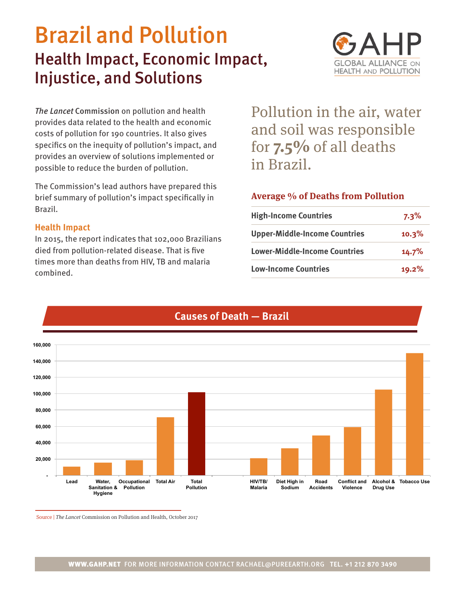# Brazil and Pollution Health Impact, Economic Impact, Injustice, and Solutions



*The Lancet* Commission on pollution and health provides data related to the health and economic costs of pollution for 190 countries. It also gives specifics on the inequity of pollution's impact, and provides an overview of solutions implemented or possible to reduce the burden of pollution.

The Commission's lead authors have prepared this brief summary of pollution's impact specifically in Brazil.

#### **Health Impact**

In 2015, the report indicates that 102,000 Brazilians died from pollution-related disease. That is five times more than deaths from HIV, TB and malaria combined.

Pollution in the air, water and soil was responsible for **7.5%** of all deaths in Brazil.

### **Average % of Deaths from Pollution**

| <b>High-Income Countries</b>         | $7.3\%$ |
|--------------------------------------|---------|
| <b>Upper-Middle-Income Countries</b> | 10.3%   |
| <b>Lower-Middle-Income Countries</b> | 14.7%   |
| <b>Low-Income Countries</b>          | 19.2%   |



## **Causes of Death — Brazil**

Source | The Lancet Commission on Pollution and Health, October 2017